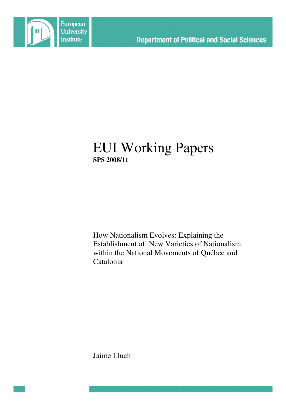

# EUI Working Papers **SPS 2008/11**

How Nationalism Evolves: Explaining the Establishment of New Varieties of Nationalism within the National Movements of Québec and Catalonia

Jaime Lluch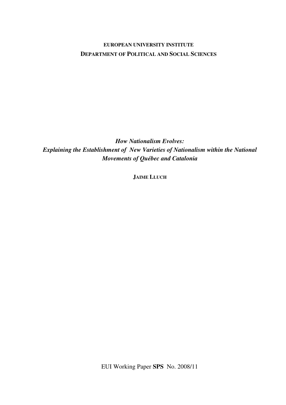## **EUROPEAN UNIVERSITY INSTITUTE DEPARTMENT OF POLITICAL AND SOCIAL SCIENCES**

*How Nationalism Evolves: Explaining the Establishment of New Varieties of Nationalism within the National Movements of Québec and Catalonia*

**JAIME LLUCH**

EUI Working Paper **SPS** No. 2008/11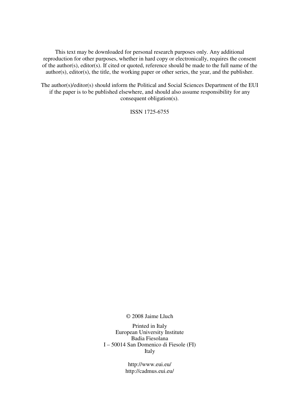This text may be downloaded for personal research purposes only. Any additional reproduction for other purposes, whether in hard copy or electronically, requires the consent of the author(s), editor(s). If cited or quoted, reference should be made to the full name of the author(s), editor(s), the title, the working paper or other series, the year, and the publisher.

The author(s)/editor(s) should inform the Political and Social Sciences Department of the EUI if the paper is to be published elsewhere, and should also assume responsibility for any consequent obligation(s).

ISSN 1725-6755

© 2008 Jaime Lluch

Printed in Italy European University Institute Badia Fiesolana I – 50014 San Domenico di Fiesole (FI) Italy

> http://www.eui.eu/ http://cadmus.eui.eu/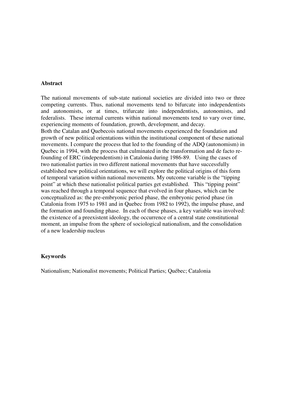#### **Abstract**

The national movements of sub-state national societies are divided into two or three competing currents. Thus, national movements tend to bifurcate into independentists and autonomists, or at times, trifurcate into independentists, autonomists, and federalists. These internal currents within national movements tend to vary over time, experiencing moments of foundation, growth, development, and decay. Both the Catalan and Quebecois national movements experienced the foundation and growth of new political orientations within the institutional component of these national movements. I compare the process that led to the founding of the ADQ (autonomism) in Quebec in 1994, with the process that culminated in the transformation and de facto refounding of ERC (independentism) in Catalonia during 1986-89. Using the cases of two nationalist parties in two different national movements that have successfully established new political orientations, we will explore the political origins of this form of temporal variation within national movements. My outcome variable is the "tipping point" at which these nationalist political parties get established. This "tipping point" was reached through a temporal sequence that evolved in four phases, which can be conceptualized as: the pre-embryonic period phase, the embryonic period phase (in Catalonia from 1975 to 1981 and in Quebec from 1982 to 1992), the impulse phase, and the formation and founding phase. In each of these phases, a key variable was involved: the existence of a preexistent ideology, the occurrence of a central state constitutional moment, an impulse from the sphere of sociological nationalism, and the consolidation of a new leadership nucleus

#### **Keywords**

Nationalism; Nationalist movements; Political Parties; Québec; Catalonia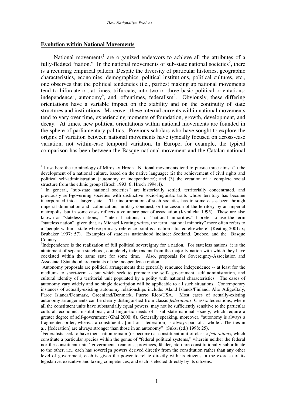## **Evolution within National Movements**

National movements<sup>1</sup> are organized endeavors to achieve all the attributes of a fully-fledged "nation." In the national movements of sub-state national societies<sup>2</sup>, there is a recurring empirical pattern. Despite the diversity of particular histories, geographic characteristics, economies, demographics, political institutions, political cultures, etc., one observes that the political tendencies (i.e., parties) making up national movements tend to bifurcate or, at times, trifurcate, into two or three basic political orientations: independence<sup>3</sup>, autonomy<sup>4</sup>, and, oftentimes, federalism<sup>5</sup>. Obviously, these differing orientations have a variable impact on the stability and on the continuity of state structures and institutions. Moreover, these internal currents within national movements tend to vary over time, experiencing moments of foundation, growth, development, and decay. At times, new political orientations within national movements are founded in the sphere of parliamentary politics. Previous scholars who have sought to explore the origins of variation between national movements have typically focused on across-case variation, not within-case temporal variation. In Europe, for example, the typical comparison has been between the Basque national movement and the Catalan national

 $<sup>1</sup>$  I use here the terminology of Miroslav Hroch. National movements tend to pursue three aims: (1) the</sup> development of a national culture, based on the native language; (2) the achievement of civil rights and political self-administration (autonomy or independence); and (3) the creation of a complete social structure from the ethnic group (Hroch 1993: 6; Hroch 1994:4).

<sup>2</sup> In general, "sub-state national societies" are historically settled, territorially concentrated, and previously self-governing societies with distinctive socio-linguistic traits whose territory has become incorporated into a larger state. The incorporation of such societies has in some cases been through imperial domination and colonization, military conquest, or the cession of the territory by an imperial metropolis, but in some cases reflects a voluntary pact of association (Kymlicka 1995). These are also known as "stateless nations," "internal nations," or "national minorities." I prefer to use the term "stateless nation", given that, as Michael Keating writes, the term "national minority" more often refers to a "people within a state whose primary reference point is a nation situated elsewhere" (Keating 2001: x; Brubaker 1997: 57). Examples of stateless nationhood include: Scotland, Quebec, and the Basque Country.

<sup>&</sup>lt;sup>3</sup>Independence is the realization of full political sovereignty for a nation. For stateless nations, it is the attainment of separate statehood, completely independent from the majority nation with which they have coexisted within the same state for some time. Also, proposals for Sovereignty-Association and Associated Statehood are variants of the independence option.

<sup>&</sup>lt;sup>4</sup>Autonomy proposals are political arrangements that generally renounce independence -- at least for the medium- to short-term -- but which seek to promote the self- government, self administration, and cultural identity of a territorial unit populated by a polity with national characteristics. The cases of autonomy vary widely and no single description will be applicable to all such situations. Contemporary instances of actually-existing autonomy relationships include: Äland Islands/Finland, Alto Adige/Italy, Faroe Islands/Denmark, Greenland/Denmark, Puerto Rico/USA. Most cases of actually-existing autonomy arrangements can be clearly distinguished from classic *federations*. Classic federations, where all the constituent units have substantially equal powers, may not be sufficiently sensitive to the particular cultural, economic, institutional, and linguistic needs of a sub-state national society, which require a greater degree of self-government (Ghai 2000: 8). Generally speaking, moreover, "autonomy is always a fragmented order, whereas a constituent...[unit of a federation] is always part of a whole...The ties in a…[federation] are always stronger than those in an autonomy" (Suksi (ed.) 1998: 25).

<sup>5</sup> Federalists seek to have their nation remain (or become) a constituent unit of classic *federations*, which constitute a particular species within the genus of "federal political systems," wherein neither the federal nor the constituent units' governments (cantons, provinces, länder, etc.) are constitutionally subordinate to the other, i.e., each has sovereign powers derived directly from the constitution rather than any other level of government, each is given the power to relate directly with its citizens in the exercise of its legislative, executive and taxing competences, and each is elected directly by its citizens.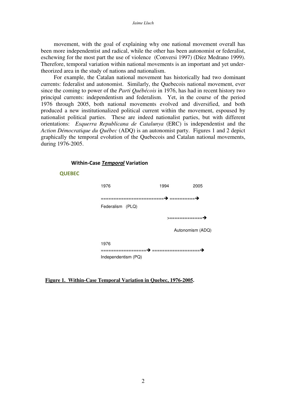movement, with the goal of explaining why one national movement overall has been more independentist and radical, while the other has been autonomist or federalist, eschewing for the most part the use of violence (Conversi 1997) (Díez Medrano 1999). Therefore, temporal variation within national movements is an important and yet undertheorized area in the study of nations and nationalism.

For example, the Catalan national movement has historically had two dominant currents: federalist and autonomist. Similarly, the Quebecois national movement, ever since the coming to power of the *Parti Québécois* in 1976, has had in recent history two principal currents: independentism and federalism. Yet, in the course of the period 1976 through 2005, both national movements evolved and diversified, and both produced a new institutionalized political current within the movement, espoused by nationalist political parties. These are indeed nationalist parties, but with different orientations: *Esquerra Republicana de Catalunya* (ERC) is independentist and the *Action Démocratique du Québec* (ADQ) is an autonomist party. Figures 1 and 2 depict graphically the temporal evolution of the Quebecois and Catalan national movements, during 1976-2005.



#### **Figure 1. Within-Case Temporal Variation in Quebec, 1976-2005.**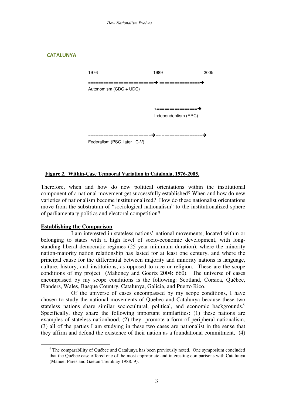#### **CATALUNYA**



#### **Figure 2. Within-Case Temporal Variation in Catalonia, 1976-2005.**

Therefore, when and how do new political orientations within the institutional component of a national movement get successfully established? When and how do new varieties of nationalism become institutionalized? How do these nationalist orientations move from the substratum of "sociological nationalism" to the institutionalized sphere of parliamentary politics and electoral competition?

## **Establishing the Comparison**

I am interested in stateless nations' national movements, located within or belonging to states with a high level of socio-economic development, with longstanding liberal democratic regimes (25 year minimum duration), where the minority nation-majority nation relationship has lasted for at least one century, and where the principal cause for the differential between majority and minority nations is language, culture, history, and institutions, as opposed to race or religion. These are the scope conditions of my project (Mahoney and Goertz 2004: 660). The universe of cases encompassed by my scope conditions is the following: Scotland, Corsica, Québec, Flanders, Wales, Basque Country, Catalunya, Galicia, and Puerto Rico.

Of the universe of cases encompassed by my scope conditions, I have chosen to study the national movements of Quebec and Catalunya because these two stateless nations share similar sociocultural, political, and economic backgrounds.<sup>6</sup> Specifically, they share the following important similarities: (1) these nations are examples of stateless nationhood, (2) they promote a form of peripheral nationalism, (3) all of the parties I am studying in these two cases are nationalist in the sense that they affirm and defend the existence of their nation as a foundational commitment, (4)

 $6$  The comparability of Québec and Catalunya has been previously noted. One symposium concluded that the Québec case offered one of the most appropriate and interesting comparisons with Catalunya (Manuel Pares and Gaetan Tremblay 1988: 9).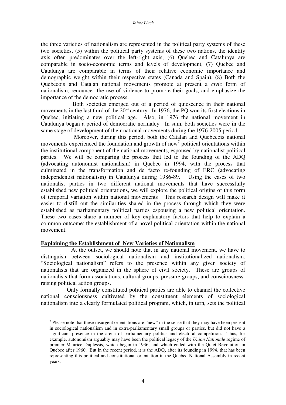the three varieties of nationalism are represented in the political party systems of these two societies, (5) within the political party systems of these two nations, the identity axis often predominates over the left-right axis, (6) Quebec and Catalunya are comparable in socio-economic terms and levels of development, (7) Quebec and Catalunya are comparable in terms of their relative economic importance and demographic weight within their respective states (Canada and Spain), (8) Both the Quebecois and Catalan national movements promote at present a *civic* form of nationalism, renounce the use of violence to promote their goals, and emphasize the importance of the democratic process.

Both societies emerged out of a period of quiescence in their national movements in the last third of the  $20<sup>th</sup>$  century. In 1976, the PQ won its first elections in Quebec, initiating a new political age. Also, in 1976 the national movement in Catalunya began a period of democratic normalcy. In sum, both societies were in the same stage of development of their national movements during the 1976-2005 period.

Moreover, during this period, both the Catalan and Quebecois national movements experienced the foundation and growth of new<sup>7</sup> political orientations within the institutional component of the national movements, espoused by nationalist political parties. We will be comparing the process that led to the founding of the ADQ (advocating autonomist nationalism) in Quebec in 1994, with the process that culminated in the transformation and de facto re-founding of ERC (advocating independentist nationalism) in Catalunya during 1986-89. Using the cases of two nationalist parties in two different national movements that have successfully established new political orientations, we will explore the political origins of this form of temporal variation within national movements This research design will make it easier to distill out the similarities shared in the process through which they were established as parliamentary political parties espousing a new political orientation. These two cases share a number of key explanatory factors that help to explain a common outcome: the establishment of a novel political orientation within the national movement.

## **Explaining the Establishment of New Varieties of Nationalism**

At the outset, we should note that in any national movement, we have to distinguish between sociological nationalism and institutionalized nationalism. "Sociological nationalism" refers to the presence within any given society of nationalists that are organized in the sphere of civil society. These are groups of nationalists that form associations, cultural groups, pressure groups, and consciousnessraising political action groups.

Only formally constituted political parties are able to channel the collective national consciousness cultivated by the constituent elements of sociological nationalism into a clearly formulated political program, which, in turn, sets the political

 $<sup>7</sup>$  Please note that these insurgent orientations are "new" in the sense that they may have been present</sup> in sociological nationalism and in extra-parliamentary small groups or parties, but did not have a significant presence in the arena of parliamentary politics and electoral competition. Thus, for example, autonomism arguably may have been the political legacy of the *Union Nationale* regime of premier Maurice Duplessis, which began in 1936, and which ended with the Quiet Revolution in Quebec after 1960. But in the recent period, it is the ADQ, after its founding in 1994, that has been representing this political and constitutional orientation in the Quebec National Assembly in recent years.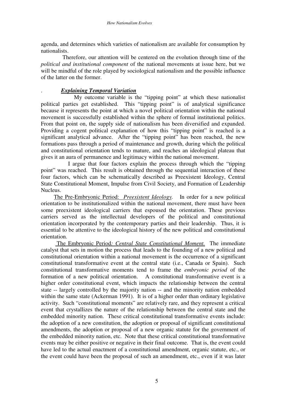agenda, and determines which varieties of nationalism are available for consumption by nationalists.

Therefore, our attention will be centered on the evolution through time of the *political and institutional component* of the national movements at issue here, but we will be mindful of the role played by sociological nationalism and the possible influence of the latter on the former.

## . *Explaining Temporal Variation*

My outcome variable is the "tipping point" at which these nationalist political parties get established. This "tipping point" is of analytical significance because it represents the point at which a novel political orientation within the national movement is successfully established within the sphere of formal institutional politics. From that point on, the supply side of nationalism has been diversified and expanded. Providing a cogent political explanation of how this "tipping point" is reached is a significant analytical advance. After the "tipping point" has been reached, the new formations pass through a period of maintenance and growth, during which the political and constitutional orientation tends to mature, and reaches an ideological plateau that gives it an aura of permanence and legitimacy within the national movement.

I argue that four factors explain the process through which the "tipping point" was reached. This result is obtained through the sequential interaction of these four factors, which can be schematically described as Preexistent Ideology, Central State Constitutional Moment, Impulse from Civil Society, and Formation of Leadership Nucleus.

The Pre-Embryonic Period: *Preexistent Ideology.* In order for a new political orientation to be institutionalized within the national movement, there must have been some preexistent ideological carriers that espoused the orientation. These previous carriers served as the intellectual developers of the political and constitutional orientation incorporated by the contemporary parties and their leadership. Thus, it is essential to be attentive to the ideological history of the new political and constitutional orientation.

The Embryonic Period*: Central State Constitutional Moment.* The immediate catalyst that sets in motion the process that leads to the founding of a new political and constitutional orientation within a national movement is the occurrence of a significant constitutional transformative event at the central state (i.e., Canada or Spain). Such constitutional transformative moments tend to frame the *embryonic period* of the formation of a new political orientation. A constitutional transformative event is a higher order constitutional event, which impacts the relationship between the central state -- largely controlled by the majority nation -- and the minority nation embedded within the same state (Ackerman 1991). It is of a higher order than ordinary legislative activity. Such "constitutional moments" are relatively rare, and they represent a critical event that crystallizes the nature of the relationship between the central state and the embedded minority nation. These critical constitutional transformative events include: the adoption of a new constitution, the adoption or proposal of significant constitutional amendments, the adoption or proposal of a new organic statute for the government of the embedded minority nation, etc. Note that these critical constitutional transformative events may be either positive or negative in their final outcome. That is, the event could have led to the actual enactment of a constitutional amendment, organic statute, etc., or the event could have been the proposal of such an amendment, etc., even if it was later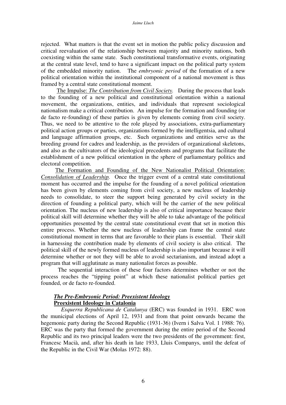rejected. What matters is that the event set in motion the public policy discussion and critical reevaluation of the relationship between majority and minority nations, both coexisting within the same state. Such constitutional transformative events, originating at the central state level, tend to have a significant impact on the political party system of the embedded minority nation. The *embryonic period* of the formation of a new political orientation within the institutional component of a national movement is thus framed by a central state constitutional moment.

The Impulse: *The Contribution from Civil Society.* During the process that leads to the founding of a new political and constitutional orientation within a national movement, the organizations, entities, and individuals that represent sociological nationalism make a critical contribution. An impulse for the formation and founding (or de facto re-founding) of these parties is given by elements coming from civil society. Thus, we need to be attentive to the role played by associations, extra-parliamentary political action groups or parties, organizations formed by the intelligentsia, and cultural and language affirmation groups, etc. Such organizations and entities serve as the breeding ground for cadres and leadership, as the providers of organizational skeletons, and also as the cultivators of the ideological precedents and programs that facilitate the establishment of a new political orientation in the sphere of parliamentary politics and electoral competition.

The Formation and Founding of the New Nationalist Political Orientation: *Consolidation of Leadership.* Once the trigger event of a central state constitutional moment has occurred and the impulse for the founding of a novel political orientation has been given by elements coming from civil society, a new nucleus of leadership needs to consolidate, to steer the support being generated by civil society in the direction of founding a political party, which will be the carrier of the new political orientation. The nucleus of new leadership is also of critical importance because their political skill will determine whether they will be able to take advantage of the political opportunities presented by the central state constitutional event that set in motion this entire process. Whether the new nucleus of leadership can frame the central state constitutional moment in terms that are favorable to their plans is essential. Their skill in harnessing the contribution made by elements of civil society is also critical. The political skill of the newly formed nucleus of leadership is also important because it will determine whether or not they will be able to avoid sectarianism, and instead adopt a program that will agglutinate as many nationalist forces as possible.

The sequential interaction of these four factors determines whether or not the process reaches the "tipping point" at which these nationalist political parties get founded, or de facto re-founded.

## *The Pre-Embryonic Period: Preexistent Ideology* **Preexistent Ideology in Catalonia**

*Esquerra Republicana de Catalunya* (ERC) was founded in 1931. ERC won the municipal elections of April 12, 1931 and from that point onwards became the hegemonic party during the Second Republic (1931-36) (Ivern i Salva Vol. 1 1988: 76). ERC was the party that formed the government during the entire period of the Second Republic and its two principal leaders were the two presidents of the government: first, Francesc Macià, and, after his death in late 1933, Lluis Companys, until the defeat of the Republic in the Civil War (Molas 1972: 88).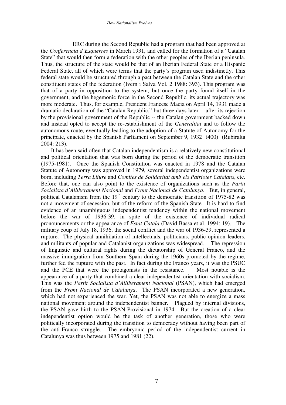ERC during the Second Republic had a program that had been approved at the *Conferencia d'Esquerres* in March 1931, and called for the formation of a "Catalan State" that would then form a federation with the other peoples of the Iberian peninsula. Thus, the structure of the state would be that of an Iberian Federal State or a Hispanic Federal State, all of which were terms that the party's program used indistinctly. This federal state would be structured through a pact between the Catalan State and the other constituent states of the federation (Ivern i Salva Vol. 2 1988: 393). This program was that of a party in opposition to the system, but once the party found itself in the government, and the hegemonic force in the Second Republic, its actual trajectory was more moderate. Thus, for example, President Francesc Macia on April 14, 1931 made a dramatic declaration of the "Catalan Republic," but three days later -- after its rejection by the provisional government of the Republic -- the Catalan government backed down and instead opted to accept the re-establishment of the *Generalitat* and to follow the autonomous route, eventually leading to the adoption of a Statute of Autonomy for the principate, enacted by the Spanish Parliament on September 9, 1932 (400) (Rubiralta 2004: 213).

It has been said often that Catalan independentism is a relatively new constitutional and political orientation that was born during the period of the democratic transition (1975-1981). Once the Spanish Constitution was enacted in 1978 and the Catalan Statute of Autonomy was approved in 1979, several independentist organizations were born, including *Terra Lliure* and *Comites de Solidaritat amb els Patriotes Catalans*, etc. Before that, one can also point to the existence of organizations such as the *Partit Socialista d'Alliberament Nacional* and *Front Nacional de Catalunya*. But, in general, political Catalanism from the  $19<sup>th</sup>$  century to the democratic transition of 1975-82 was not a movement of secession, but of the reform of the Spanish State. It is hard to find evidence of an unambiguous independentist tendency within the national movement before the war of 1936-39, in spite of the existence of individual radical pronouncements or the appearance of *Estat Catala* (David Bassa et al. 1994: 19). The military coup of July 18, 1936, the social conflict and the war of 1936-39, represented a rupture. The physical annihilation of intellectuals, politicians, public opinion leaders, and militants of popular and Catalanist organizations was widespread. The repression of linguistic and cultural rights during the dictatorship of General Franco, and the massive immigration from Southern Spain during the 1960s promoted by the regime, further fed the rupture with the past. In fact during the Franco years, it was the PSUC and the PCE that were the protagonists in the resistance. Most notable is the appearance of a party that combined a clear independentist orientation with socialism. This was the *Partit Socialista d'Alliberament Nacional* (PSAN), which had emerged from the *Front Nacional de Catalunya*. The PSAN incorporated a new generation, which had not experienced the war. Yet, the PSAN was not able to energize a mass national movement around the independentist banner. Plagued by internal divisions, the PSAN gave birth to the PSAN-Provisional in 1974. But the creation of a clear independentist option would be the task of another generation, those who were politically incorporated during the transition to democracy without having been part of the anti-Franco struggle. The embryonic period of the independentist current in Catalunya was thus between 1975 and 1981 (22).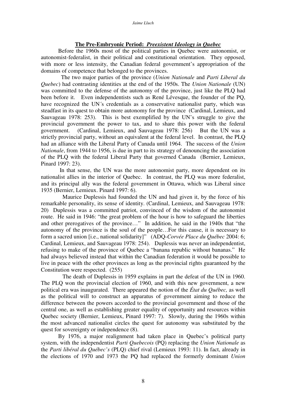## **The Pre-Embryonic Period:** *Preexistent Ideology in Quebec*

Before the 1960s most of the political parties in Quebec were autonomist, or autonomist-federalist, in their political and constitutional orientation. They opposed, with more or less intensity, the Canadian federal government's appropriation of the domains of competence that belonged to the provinces.

The two major parties of the province (*Union Nationale* and *Parti Liberal du Quebec*) had contrasting identities at the end of the 1950s. The *Union Nationale* (UN) was committed to the defense of the autonomy of the province, just like the PLQ had been before it. Even independentists such as René Lévesque, the founder of the PQ, have recognized the UN´s credentials as a conservative nationalist party, which was steadfast in its quest to obtain more autonomy for the province (Cardinal, Lemieux, and Sauvageau 1978: 253). This is best exemplified by the UN's struggle to give the provincial government the power to tax, and to share this power with the federal government. (Cardinal, Lemieux, and Sauvageau 1978: 256) But the UN was a strictly provincial party, without an equivalent at the federal level. In contrast, the PLQ had an alliance with the Liberal Party of Canada until 1964. The success of the *Union Nationale*, from 1944 to 1956, is due in part to its strategy of denouncing the association of the PLQ with the federal Liberal Party that governed Canada (Bernier, Lemieux, Pinard 1997: 23).

In that sense, the UN was the more autonomist party, more dependent on its nationalist allies in the interior of Quebec. In contrast, the PLQ was more federalist, and its principal ally was the federal government in Ottawa, which was Liberal since 1935 (Bernier, Lemieux. Pinard 1997: 6).

Maurice Duplessis had founded the UN and had given it, by the force of his remarkable personality, its sense of identity. (Cardinal, Lemieux, and Sauvageau 1978: 20) Duplessis was a committed patriot, convinced of the wisdom of the autonomist route. He said in 1946: "the great problem of the hour is how to safeguard the liberties and other prerogatives of the province…" In addition, he said in the 1940s that "the autonomy of the province is the soul of the people…For this cause, it is necessary to form a sacred union [i.e., national solidarity]" (ADQ-*Corvée Place du Québec* 2004: 6; Cardinal, Lemieux, and Sauvageau 1978: 254). Duplessis was never an independentist, refusing to make of the province of Quebec a "banana republic without bananas." He had always believed instead that within the Canadian federation it would be possible to live in peace with the other provinces as long as the provincial rights guaranteed by the Constitution were respected. (255)

The death of Duplessis in 1959 explains in part the defeat of the UN in 1960. The PLQ won the provincial election of 1960, and with this new government, a new political era was inaugurated. There appeared the notion of the *État du Québec,* as well as the political will to construct an apparatus of government aiming to reduce the difference between the powers accorded to the provincial government and those of the central one, as well as establishing greater equality of opportunity and resources within Quebec society (Bernier, Lemieux, Pinard 1997: 7). Slowly, during the 1960s within the most advanced nationalist circles the quest for autonomy was substituted by the quest for sovereignty or independence (8).

By 1976, a major realignment had taken place in Quebec's political party system, with the independentist *Parti Quebecois* (PQ) replacing the *Union Nationale* as the *Parti libéral du Québec's* (PLQ) chief rival (Lemieux 1993: 11). In fact, already in the elections of 1970 and 1973 the PQ had replaced the formerly dominant *Union*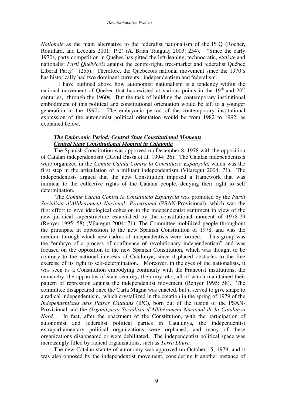*Nationale* as the main alternative to the federalist nationalism of the PLQ (Rocher, Rouillard, and Lecours 2001: 192) (A. Brian Tanguay 2003: 254). "Since the early 1970s, party competition in Québec has pitted the left-leaning, technocratic, *étatiste* and nationalist *Parti Québécois* against the centre-right, free-market and federalist Québec Liberal Party" (255). Therefore, the Quebecois national movement since the 1970's has historically had two dominant currents: independentism and federalism.

I have outlined above how autonomist nationalism is a tendency within the national movement of Quebec that has existed at various points in the  $19<sup>th</sup>$  and  $20<sup>th</sup>$ centuries, through the 1960s. But the task of building the contemporary institutional embodiment of this political and constitutional orientation would be left to a younger generation in the 1990s. The embryonic period of the contemporary institutional expression of the autonomist political orientation would be from 1982 to 1992, as explained below.

## *The Embryonic Period: Central State Constitutional Moments Central State Constitutional Moment in Catalonia*

The Spanish Constitution was approved on December 8, 1978 with the opposition of Catalan independentism (David Bassa et al. 1994: 26). The Catalan independentists were organized in the *Comite Catala Contra la Constitucio Espanyola,* which was the first step in the articulation of a militant independentism (Vilaregut 2004: 71). The independentists argued that the new Constitution imposed a framework that was inimical to the collective rights of the Catalan people, denying their right to self determination.

The *Comite Catala Contra la Constitucio Espanyola* was promoted by the *Partit Socialista d'Alliberament Nacional- Provisional* (PSAN-Provisional), which was the first effort to give ideological cohesion to the independentist sentiment in view of the new juridical superstructure established by the constitutional moment of 1978-79 (Renyer 1995: 58) (Vilaregut 2004: 71). The Committee mobilized people throughout the principate in opposition to the new Spanish Constitution of 1978, and was the medium through which new cadres of independentists were formed. This group was the "embryo of a process of confluence of revolutionary independentism" and was focused on the opposition to the new Spanish Constitution, which was thought to be contrary to the national interests of Catalunya, since it placed obstacles to the free exercise of its right to self-determination. Moreover, in the eyes of the nationalists, it was seen as a Constitution embodying continuity with the Francoist institutions, the monarchy, the apparatus of state security, the army, etc., all of which maintained their pattern of repression against the independentist movement (Renyer 1995: 58). The committee disappeared once the Carta Magna was enacted, but it served to give shape to a radical independentism, which crystallized in the creation in the spring of 1979 of the *Independentistes dels Paisos Catalans* (IPC), born out of the fusion of the PSAN-Provisional and the *Organitzacio Socialista d'Alliberament Nacional de la Catalunya Nord.* In fact, after the enactment of the Constitution, with the participation of autonomist and federalist political parties in Catalunya, the independentist extraparliamentary political organizations were orphaned, and many of these organizations disappeared or were debilitated. The independentist political space was increasingly filled by radical organizations, such as *Terra Lliure*.

The new Catalan statute of autonomy was approved on October 15, 1979, and it was also opposed by the independentist movement, considering it another instance of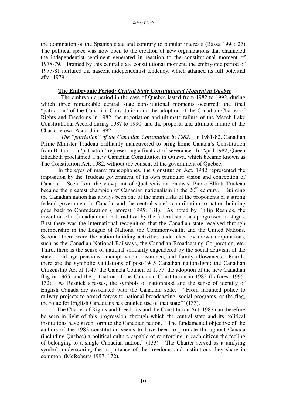the domination of the Spanish state and contrary to popular interests (Bassa 1994: 27) The political space was now open to the creation of new organizations that channeled the independentist sentiment generated in reaction to the constitutional moment of 1978-79. Framed by this central state constitutional moment, the embryonic period of 1975-81 nurtured the nascent independentist tendency, which attained its full potential after 1979.

#### **The Embryonic Period***: Central State Constitutional Moment in Quebec*

The embryonic period in the case of Quebec lasted from 1982 to 1992, during which three remarkable central state constitutional moments occurred: the final "patriation" of the Canadian Constitution and the adoption of the Canadian Charter of Rights and Freedoms in 1982, the negotiation and ultimate failure of the Meech Lake Constitutional Accord during 1987 to 1990, and the proposal and ultimate failure of the Charlottetown Accord in 1992.

*The "patriation" of the Canadian Constitution in 1982.* In 1981-82, Canadian Prime Minister Trudeau brilliantly maneuvered to bring home Canada's Constitution from Britain -- a 'patriation' representing a final act of severance. In April 1982, Queen Elizabeth proclaimed a new Canadian Constitution in Ottawa, which became known as The Constitution Act, 1982, without the consent of the government of Quebec.

In the eyes of many francophones, the Constitution Act, 1982 represented the imposition by the Trudeau government of its own particular vision and conception of Canada. Seen from the viewpoint of Quebecois nationalists, Pierre Elliott Trudeau became the greatest champion of Canadian nationalism in the  $20<sup>th</sup>$  century. Building the Canadian nation has always been one of the main tasks of the proponents of a strong federal government in Canada, and the central state's contribution to nation building goes back to Confederation (Laforest 1995: 131). As noted by Philip Resnick, the invention of a Canadian national tradition by the federal state has progressed in stages. First there was the international recognition that the Canadian state received through membership in the League of Nations, the Commonwealth, and the United Nations. Second, there were the nation-building activities undertaken by crown corporations, such as the Canadian National Railways, the Canadian Broadcasting Corporation, etc. Third, there is the sense of national solidarity engendered by the social activism of the state – old age pensions, unemployment insurance, and family allowances. Fourth, there are the symbolic validations of post-1945 Canadian nationalism: the Canadian Citizenship Act of 1947, the Canada Council of 1957, the adoption of the new Canadian flag in 1965, and the patriation of the Canadian Constitution in 1982 (Laforest 1995: 132). As Resnick stresses, the symbols of nationhood and the sense of identity of English Canada are associated with the Canadian state. "'From mounted police to railway projects to armed forces to national broadcasting, social programs, or the flag, the route for English Canadians has entailed use of that state'" (133).

The Charter of Rights and Freedoms and the Constitution Act, 1982 can therefore be seen in light of this progression, through which the central state and its political institutions have given form to the Canadian nation. "The fundamental objective of the authors of the 1982 constitution seems to have been to promote throughout Canada (including Quebec) a political culture capable of reinforcing in each citizen the feeling of belonging to a single Canadian nation." (133) The Charter served as a unifying symbol, underscoring the importance of the freedoms and institutions they share in common (McRoberts 1997: 172).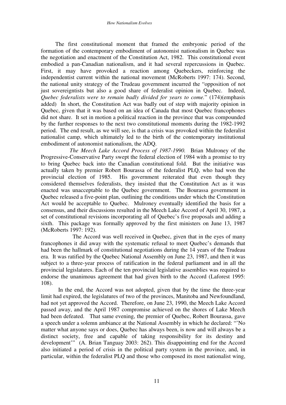The first constitutional moment that framed the embryonic period of the formation of the contemporary embodiment of autonomist nationalism in Quebec was the negotiation and enactment of the Constitution Act, 1982. This constitutional event embodied a pan-Canadian nationalism, and it had several repercussions in Quebec. First, it may have provoked a reaction among Quebeckers, reinforcing the independentist current within the national movement (McRoberts 1997: 174). Second, the national unity strategy of the Trudeau government incurred the "opposition of not just sovereigntists but also a good share of federalist opinion in Quebec. Indeed, *Quebec federalists were to remain badly divided for years to come.*" (174)(emphasis added) In short, the Constitution Act was badly out of step with majority opinion in Quebec, given that it was based on an idea of Canada that most Quebec francophones did not share. It set in motion a political reaction in the province that was compounded by the further responses to the next two constitutional moments during the 1982-1992 period. The end result, as we will see, is that a crisis was provoked within the federalist nationalist camp, which ultimately led to the birth of the contemporary institutional embodiment of autonomist nationalism, the ADQ.

*The Meech Lake Accord Process of 1987-1990.* Brian Mulroney of the Progressive-Conservative Party swept the federal election of 1984 with a promise to try to bring Quebec back into the Canadian constitutional fold. But the initiative was actually taken by premier Robert Bourassa of the federalist PLQ, who had won the provincial election of 1985. His government reiterated that even though they considered themselves federalists, they insisted that the Constitution Act as it was enacted was unacceptable to the Quebec government. The Bourassa government in Quebec released a five-point plan, outlining the conditions under which the Constitution Act would be acceptable to Quebec. Mulroney eventually identified the basis for a consensus, and their discussions resulted in the Meech Lake Accord of April 30, 1987, a set of constitutional revisions incorporating all of Quebec's five proposals and adding a sixth. This package was formally approved by the first ministers on June 13, 1987 (McRoberts 1997: 192).

The Accord was well received in Quebec, given that in the eyes of many francophones it did away with the systematic refusal to meet Quebec's demands that had been the hallmark of constitutional negotiations during the 14 years of the Trudeau era. It was ratified by the Quebec National Assembly on June 23, 1987, and then it was subject to a three-year process of ratification in the federal parliament and in all the provincial legislatures. Each of the ten provincial legislative assemblies was required to endorse the unanimous agreement that had given birth to the Accord (Laforest 1995: 108).

In the end, the Accord was not adopted, given that by the time the three-year limit had expired, the legislatures of two of the provinces, Manitoba and Newfoundland, had not yet approved the Accord. Therefore, on June 23, 1990, the Meech Lake Accord passed away, and the April 1987 compromise achieved on the shores of Lake Meech had been defeated. That same evening, the premier of Quebec, Robert Bourassa, gave a speech under a solemn ambiance at the National Assembly in which he declared: "'No matter what anyone says or does, Quebec has always been, is now and will always be a distinct society, free and capable of taking responsibility for its destiny and development'" (A. Brian Tanguay 2003: 262). This disappointing end for the Accord also initiated a period of crisis in the political party system in the province, and, in particular, within the federalist PLQ and those who composed its most nationalist wing,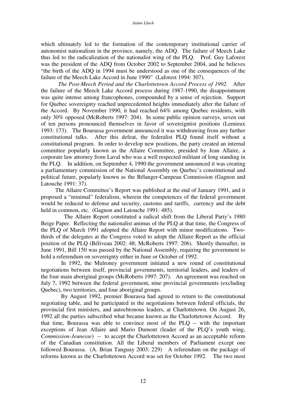which ultimately led to the formation of the contemporary institutional carrier of autonomist nationalism in the province, namely, the ADQ. The failure of Meech Lake thus led to the radicalization of the nationalist wing of the PLQ. Prof. Guy Laforest was the president of the ADQ from October 2002 to September 2004, and he believes "the birth of the ADQ in 1994 must be understood as one of the consequences of the failure of the Meech Lake Accord in June 1990" (Laforest 1994: 307).

*The Post-Meech Period and the Charlottetown Accord Process of 1992.* After the failure of the Meech Lake Accord process during 1987-1990, the disappointment was quite intense among francophones, compounded by a sense of rejection. Support for Quebec sovereignty reached unprecedented heights immediately after the failure of the Accord. By November 1990, it had reached 64% among Quebec residents, with only 30% opposed (McRoberts 1997: 204). In some public opinion surveys, seven out of ten persons pronounced themselves in favor of sovereigntist positions (Lemieux 1993: 173). The Bourassa government announced it was withdrawing from any further constitutional talks. After this defeat, the federalist PLQ found itself without a constitutional program. In order to develop new positions, the party created an internal committee popularly known as the Allaire Committee, presided by Jean Allaire, a corporate law attorney from Laval who was a well respected militant of long standing in the PLQ. In addition, on September 4, 1990 the government announced it was creating a parliamentary commission of the National Assembly on Quebec's constitutional and political future, popularly known as the Bélanger-Campeau Commission (Gagnon and Latouche 1991: 37).

The Allaire Committee's Report was published at the end of January 1991, and it proposed a "minimal" federalism, wherein the competences of the federal government would be reduced to defense and security, customs and tariffs, currency and the debt held in common, etc*.* (Gagnon and Latouche 1991: 485).

The Allaire Report constituted a radical shift from the Liberal Party's 1980 Beige Paper. Reflecting the nationalist animus of the PLQ at that time, the Congress of the PLQ of March 1991 adopted the Allaire Report with minor modifications. Twothirds of the delegates at the Congress voted to adopt the Allaire Report as the official position of the PLQ (Béliveau 2002: 48; McRoberts 1997: 206). Shortly thereafter, in June 1991, Bill 150 was passed by the National Assembly, requiring the government to hold a referendum on sovereignty either in June or October of 1992.

In 1992, the Mulroney government initiated a new round of constitutional negotiations between itself, provincial governments, territorial leaders, and leaders of the four main aboriginal groups (McRoberts 1997: 207). An agreement was reached on July 7, 1992 between the federal government, nine provincial governments (excluding Quebec), two territories, and four aboriginal groups.

By August 1992, premier Bourassa had agreed to return to the constitutional negotiating table, and he participated in the negotiations between federal officials, the provincial first ministers, and autochtonous leaders, at Charlottetown. On August 26, 1992 all the parties subscribed what became known as the Charlottetown Accord. By that time, Bourassa was able to convince most of the PLQ -- with the important exceptions of Jean Allaire and Mario Dumont (leader of the PLQ's youth wing, *Commission-Jeunesse*) -- to accept the Charlottetown Accord as an acceptable reform of the Canadian constitution. All the Liberal members of Parliament except one followed Bourassa. (A. Brian Tanguay 2003: 229) A referendum on the package of reforms known as the Charlottetown Accord was set for October 1992. The two most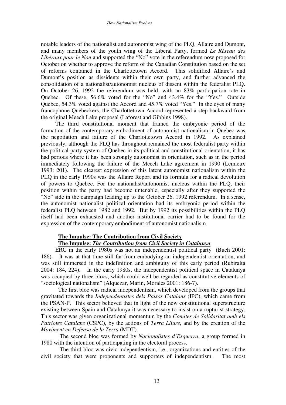notable leaders of the nationalist and autonomist wing of the PLQ, Allaire and Dumont, and many members of the youth wing of the Liberal Party, formed *Le Réseau des Libéraux pour le Non* and supported the "No" vote in the referendum now proposed for October on whether to approve the reform of the Canadian Constitution based on the set of reforms contained in the Charlottetown Accord. This solidified Allaire's and Dumont's position as dissidents within their own party, and further advanced the consolidation of a nationalist/autonomist nucleus of dissent within the federalist PLQ. On October 26, 1992 the referendum was held, with an 83% participation rate in Quebec. Of these, 56.6% voted for the "No" and 43.4% for the "Yes." Outside Quebec, 54.3% voted against the Accord and 45.7% voted "Yes." In the eyes of many francophone Quebeckers, the Charlottetown Accord represented a step backward from the original Meech Lake proposal (Laforest and Gibbins 1998).

The third constitutional moment that framed the embryonic period of the formation of the contemporary embodiment of autonomist nationalism in Quebec was the negotiation and failure of the Charlottetown Accord in 1992. As explained previously, although the PLQ has throughout remained the most federalist party within the political party system of Quebec in its political and constitutional orientation, it has had periods where it has been strongly autonomist in orientation, such as in the period immediately following the failure of the Meech Lake agreement in 1990 (Lemieux 1993: 201). The clearest expression of this latent autonomist nationalism within the PLQ in the early 1990s was the Allaire Report and its formula for a radical devolution of powers to Quebec. For the nationalist/autonomist nucleus within the PLQ, their position within the party had become untenable, especially after they supported the "No" side in the campaign leading up to the October 26, 1992 referendum. In a sense, the autonomist nationalist political orientation had its embryonic period within the federalist PLQ between 1982 and 1992. But by 1992 its possibilities within the PLQ itself had been exhausted and another institutional carrier had to be found for the expression of the contemporary embodiment of autonomist nationalism.

## **The Impulse: The Contribution from Civil Society**

## **The Impulse:** *The Contribution from Civil Society in Catalunya*

ERC in the early 1980s was not an independentist political party (Buch 2001: 186). It was at that time still far from embodying an independentist orientation, and was still immersed in the indefinition and ambiguity of this early period (Rubiralta 2004: 184, 224). In the early 1980s, the independentist political space in Catalunya was occupied by three blocs, which could well be regarded as constitutive elements of "sociological nationalism" (Alquezar, Marin, Morales 2001: 186-7).

The first bloc was radical independentism, which developed from the groups that gravitated towards the *Independentistes dels Paisos Catalans* (IPC), which came from the PSAN-P. This sector believed that in light of the new constitutional superstructure existing between Spain and Catalunya it was necessary to insist on a rupturist strategy. This sector was given organizational momentum by the *Comites de Solidaritat amb els Patriotes Catalans* (CSPC), by the actions of *Terra Lliure*, and by the creation of the *Moviment en Defensa de la Terra* (MDT).

The second bloc was formed by *Nacionalistes d'Esquerra*, a group formed in 1980 with the intention of participating in the electoral process.

The third bloc was civic independentism, i.e., organizations and entities of the civil society that were proponents and supporters of independentism. The most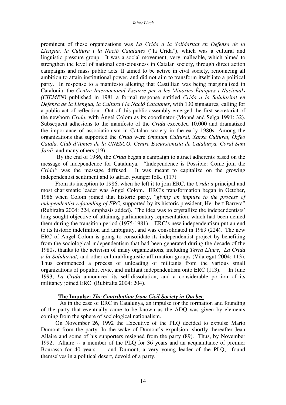prominent of these organizations was *La Crida a la Solidaritat en Defensa de la Llengua, la Cultura i la Nació Catalanes* ("la Crida"), which was a cultural and linguistic pressure group. It was a social movement, very malleable, which aimed to strengthen the level of national consciousness in Catalan society, through direct action campaigns and mass public acts. It aimed to be active in civil society, renouncing all ambition to attain institutional power, and did not aim to transform itself into a political party. In response to a manifesto alleging that Castillian was being marginalized in Catalonia, the *Centre Internacional Escarré per a les Minories Ètniques i Nacionals (CIEMEN)* published in 1981 a formal response entitled *Crida a la Solidaritat en Defensa de la Llengua, la Cultura i la Nació Catalanes*, with 130 signatures, calling for a public act of reflection. Out of this public assembly emerged the first secretariat of the newborn *Crida*, with Àngel Colom as its coordinator (Monné and Selga 1991: 32). Subsequent adhesions to the manifesto of the *Crida* exceeded 10,000 and dramatized the importance of associationism in Catalan society in the early 1980s. Among the organizations that supported the *Crida* were *Omnium Cultural, Xarxa Cultural, Orfeo Catala, Club d'Amics de la UNESCO, Centre Excursionista de Catalunya, Coral Sant Jordi*, and many others (19).

By the end of 1986, the *Crida* began a campaign to attract adherents based on the message of independence for Catalunya. "Independence is Possible: Come join the *Crida"* was the message diffused. It was meant to capitalize on the growing independentist sentiment and to attract younger folk. (117)

From its inception to 1986, when he left it to join ERC, the *Crida*'s principal and most charismatic leader was Àngel Colom. ERC's transformation began in October, 1986 when Colom joined that historic party, "*giving an impulse to the process of independentist refounding of ERC,* supported by its historic president, Heribert Barrera" (Rubiralta 2004: 224, emphasis added). The idea was to crystallize the independentists' long sought objective of attaining parliamentary representation, which had been denied them during the transition period (1975-1981). ERC's new independentism put an end to its historic indefinition and ambiguity, and was consolidated in 1989 (224). The new ERC of Angel Colom is going to consolidate its independentist project by benefiting from the sociological independentism that had been generated during the decade of the 1980s, thanks to the activism of many organizations, including *Terra Lliure*, *La Crida a la Solidaritat,* and other cultural/linguistic affirmation groups (Vilaregut 2004: 113). Thus commenced a process of unloading of militants from the various small organizations of popular, civic, and militant independentism onto ERC (113). In June 1993, *La Crida* announced its self-dissolution, and a considerable portion of its militancy joined ERC (Rubiralta 2004: 204).

## **The Impulse:** *The Contribution from Civil Society in Quebec*

As in the case of ERC in Catalunya, an impulse for the formation and founding of the party that eventually came to be known as the ADQ was given by elements coming from the sphere of sociological nationalism.

On November 26, 1992 the Executive of the PLQ decided to expulse Mario Dumont from the party. In the wake of Dumont's expulsion, shortly thereafter Jean Allaire and some of his supporters resigned from the party (89). Thus, by November 1992, Allaire -- a member of the PLQ for 36 years and an acquaintance of premier Bourassa for 40 years -- and Dumont, a very young leader of the PLQ, found themselves in a political desert, devoid of a party.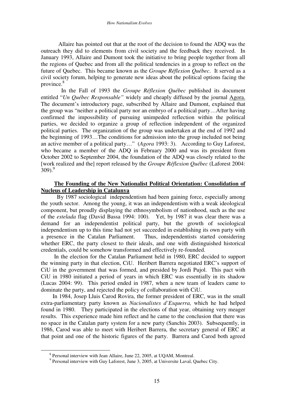Allaire has pointed out that at the root of the decision to found the ADQ was the outreach they did to elements from civil society and the feedback they received. In January 1993, Allaire and Dumont took the initiative to bring people together from all the regions of Quebec and from all the political tendencies in a group to reflect on the future of Quebec. This became known as the *Groupe Réflexion Québec*. It served as a civil society forum, helping to generate new ideas about the political options facing the province. 8

In the Fall of 1993 the *Groupe Réflexion Québec* published its document entitled "*Un Québec Responsable"* widely and cheaply diffused by the journal Agora. The document's introductory page, subscribed by Allaire and Dumont, explained that the group was "neither a political party nor an embryo of a political party…After having confirmed the impossibility of pursuing unimpeded reflection within the political parties, we decided to organize a group of reflection independent of the organized political parties. The organization of the group was undertaken at the end of 1992 and the beginning of 1993…The conditions for admission into the group included not being an active member of a political party…" (*Agora* 1993: 3). According to Guy Laforest, who became a member of the ADO in February 2000 and was its president from October 2002 to September 2004, the foundation of the ADQ was closely related to the [work realized and the] report released by the *Groupe Réflexion Québec* (Laforest 2004:  $309.9$ 

## **The Founding of the New Nationalist Political Orientation: Consolidation of Nucleus of Leadership in Catalunya**

By 1987 sociological independentism had been gaining force, especially among the youth sector. Among the young, it was an independentism with a weak ideological component, but proudly displaying the ethnosymbolism of nationhood, such as the use of the *estelada* flag (David Bassa 1994: 100). Yet, by 1987 it was clear there was a demand for an independentist political party, but the growth of sociological independentism up to this time had not yet succeeded in establishing its own party with a presence in the Catalan Parliament. Thus, independentists started considering whether ERC, the party closest to their ideals, and one with distinguished historical credentials, could be somehow transformed and effectively re-founded.

In the election for the Catalan Parliament held in 1980, ERC decided to support the winning party in that election, CiU. Heribert Barrera negotiated ERC's support of CiU in the government that was formed, and presided by Jordi Pujol. This pact with CiU in 1980 initiated a period of years in which ERC was essentially in its shadow (Lucas 2004: 99). This period ended in 1987, when a new team of leaders came to dominate the party, and rejected the policy of collaboration with CiU.

In 1984, Josep Lluis Carod Rovira, the former president of ERC, was in the small extra-parliamentary party known as *Nacionalistes d'Esquerra,* which he had helped found in 1980. They participated in the elections of that year, obtaining very meager results. This experience made him reflect and he came to the conclusion that there was no space in the Catalan party system for a new party (Sanchis 2003). Subsequently, in 1986, Carod was able to meet with Heribert Barrera, the secretary general of ERC at that point and one of the historic figures of the party. Barrera and Carod both agreed

<sup>&</sup>lt;sup>8</sup> Personal interview with Jean Allaire, June 22, 2005, at UQAM, Montreal.

 $9$  Personal interview with Guy Laforest, June 3, 2005, at Universite Laval, Quebec City.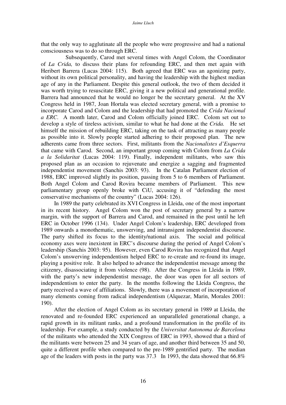that the only way to agglutinate all the people who were progressive and had a national consciousness was to do so through ERC.

Subsequently, Carod met several times with Angel Colom, the Coordinator of *La Crida,* to discuss their plans for refounding ERC, and then met again with Heribert Barrera (Lucas 2004: 115). Both agreed that ERC was an agonizing party, without its own political personality, and having the leadership with the highest median age of any in the Parliament. Despite this general outlook, the two of them decided it was worth trying to resuscitate ERC, giving it a new political and generational profile. Barrera had announced that he would no longer be the secretary general. At the XV Congress held in 1987, Joan Hortala was elected secretary general, with a promise to incorporate Carod and Colom and the leadership that had promoted the *Crida Nacional a ERC*. A month later, Carod and Colom officially joined ERC. Colom set out to develop a style of tireless activism, similar to what he had done at the *Crida.* He set himself the mission of rebuilding ERC, taking on the task of attracting as many people as possible into it. Slowly people started adhering to their proposed plan. The new adherents came from three sectors. First, militants from the *Nacionalistes d'Esquerra* that came with Carod. Second, an important group coming with Colom from *La Crida a la Solidaritat* (Lucas 2004: 119). Finally, independent militants, who saw this proposed plan as an occasion to rejuvenate and energize a sagging and fragmented independentist movement (Sanchis 2003: 93). In the Catalan Parliament election of 1988, ERC improved slightly its position, passing from 5 to 6 members of Parliament. Both Angel Colom and Carod Rovira became members of Parliament. This new parliamentary group openly broke with CiU, accusing it of "defending the most conservative mechanisms of the country" (Lucas 2004: 126).

In 1989 the party celebrated its XVI Congress in Lleida, one of the most important in its recent history. Angel Colom won the post of secretary general by a narrow margin, with the support of Barrera and Carod, and remained in the post until he left ERC in October 1996 (134). Under Angel Colom's leadership, ERC developed from 1989 onwards a monothematic, unswerving, and intransigent independentist discourse. The party shifted its focus to the identity/national axis. The social and political economy axes were inexistent in ERC's discourse during the period of Angel Colom's leadership (Sanchis 2003: 95). However, even Carod Rovira has recognized that Angel Colom's unswerving independentism helped ERC to re-create and re-found its image, playing a positive role. It also helped to advance the independentist message among the citizenry, disassociating it from violence (98). After the Congress in Lleida in 1989, with the party's new independentist message, the door was open for all sectors of independentism to enter the party. In the months following the Lleida Congress, the party received a wave of affiliations. Slowly, there was a movement of incorporation of many elements coming from radical independentism (Alquezar, Marin, Morales 2001: 190).

After the election of Angel Colom as its secretary general in 1989 at Lleida, the renovated and re-founded ERC experienced an unparalleled generational change, a rapid growth in its militant ranks, and a profound transformation in the profile of its leadership. For example, a study conducted by the *Universitat Autonoma de Barcelona* of the militants who attended the XIX Congress of ERC in 1993, showed that a third of the militants were between 25 and 34 years of age, and another third between 35 and 50, quite a different profile when compared to the pre-1989 gentrified party. The median age of the leaders with posts in the party was 37.3 In 1993, the data showed that 66.8%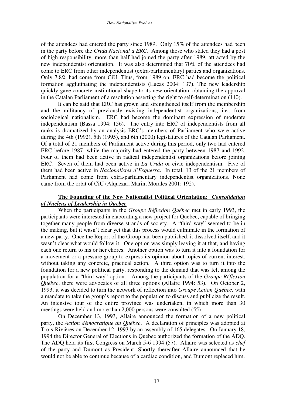of the attendees had entered the party since 1989. Only 15% of the attendees had been in the party before the *Crida Nacional a ERC.* Among those who stated they had a post of high responsibility, more than half had joined the party after 1989, attracted by the new independentist orientation. It was also determined that 70% of the attendees had come to ERC from other independentist (extra-parliamentary) parties and organizations. Only 7.8% had come from CiU. Thus, from 1989 on, ERC had become the political formation agglutinating the independentists (Lucas 2004: 137). The new leadership quickly gave concrete institutional shape to its new orientation, obtaining the approval in the Catalan Parliament of a resolution asserting the right to self-determination (140).

It can be said that ERC has grown and strengthened itself from the membership and the militancy of previously existing independentist organizations, i.e., from sociological nationalism. ERC had become the dominant expression of moderate independentism (Bassa 1994: 156). The entry into ERC of independentists from all ranks is dramatized by an analysis ERC's members of Parliament who were active during the 4th (1992), 5th (1995), and 6th (2000) legislatures of the Catalan Parliament. Of a total of 21 members of Parliament active during this period, only two had entered ERC before 1987, while the majority had entered the party between 1987 and 1992. Four of them had been active in radical independentist organizations before joining ERC. Seven of them had been active in *La Crida* or civic independentism. Five of them had been active in *Nacionalistes d'Esquerra*. In total, 13 of the 21 members of Parliament had come from extra-parliamentary independentist organizations. None came from the orbit of CiU (Alquezar, Marin, Morales 2001: 192).

## **The Founding of the New Nationalist Political Orientation:** *Consolidation of Nucleus of Leadership in Quebec*

When the participants in the *Groupe Réflexion Québec* met in early 1993, the participants were interested in elaborating a new project for Quebec, capable of bringing together many people from diverse strands of society. A "third way" seemed to be in the making, but it wasn't clear yet that this process would culminate in the formation of a new party. Once the Report of the Group had been published, it dissolved itself, and it wasn't clear what would follow it. One option was simply leaving it at that, and having each one return to his or her chores. Another option was to turn it into a foundation for a movement or a pressure group to express its opinion about topics of current interest, without taking any concrete, practical action. A third option was to turn it into the foundation for a new political party, responding to the demand that was felt among the population for a "third way" option. Among the participants of the *Groupe Réflexion Québec*, there were advocates of all three options (Allaire 1994: 53). On October 2, 1993, it was decided to turn the network of reflection into *Groupe Action Québec,* with a mandate to take the group's report to the population to discuss and publicize the result. An intensive tour of the entire province was undertaken, in which more than 30 meetings were held and more than 2,000 persons were consulted (55).

On December 13, 1993, Allaire announced the formation of a new political party, the *Action démocratique du Québec*. A declaration of principles was adopted at Trois-Rivières on December 12, 1993 by an assembly of 165 delegates. On January 18, 1994 the Director General of Elections in Quebec authorized the formation of the ADQ. The ADQ held its first Congress on March 5-6 1994 (57). Allaire was selected as *chef* of the party and Dumont as President. Shortly thereafter Allaire announced that he would not be able to continue because of a cardiac condition, and Dumont replaced him.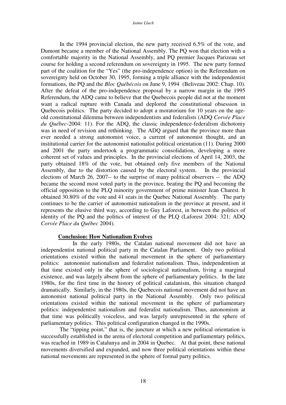In the 1994 provincial election, the new party received 6.5% of the vote, and Dumont became a member of the National Assembly. The PQ won that election with a comfortable majority in the National Assembly, and PQ premier Jacques Parizeau set course for holding a second referendum on sovereignty in 1995. The new party formed part of the coalition for the "Yes" (the pro-independence option) in the Referendum on sovereignty held on October 30, 1995, forming a triple alliance with the independentist formations, the PQ and the *Bloc Québécois* on June 9, 1994 (Beliveau 2002: Chap. 10). After the defeat of the pro-independence proposal by a narrow margin in the 1995 Referendum, the ADQ came to believe that the Quebecois people did not at the moment want a radical rupture with Canada and deplored the constitutional obsession in Quebecois politics. The party decided to adopt a moratorium for 10 years on the ageold constitutional dilemma between independentists and federalists (ADQ *Corvée Place du Québec*-2004: 11). For the ADQ, the classic independence-federalism dichotomy was in need of revision and rethinking. The ADQ argued that the province more than ever needed a strong autonomist voice, a current of autonomist thought, and an institutional carrier for the autonomist nationalist political orientation (11). During 2000 and 2001 the party undertook a programmatic consolidation, developing a more coherent set of values and principles. In the provincial elections of April 14, 2003, the party obtained 18% of the vote, but obtained only five members of the National Assembly, due to the distortion caused by the electoral system. In the provincial elections of March 26, 2007-- to the surprise of many political observers -- the ADQ became the second most voted party in the province, beating the PQ and becoming the official opposition to the PLQ minority government of prime minister Jean Charest. It obtained 30.80% of the vote and 41 seats in the Quebec National Assembly. The party continues to be the carrier of autonomist nationalism in the province at present, and it represents the elusive third way, according to Guy Laforest, in between the politics of identity of the PQ and the politics of interest of the PLQ (Laforest 2004: 321; ADQ *Corvée Place du Québec* 2004).

## **Conclusion: How Nationalism Evolves**

In the early 1980s, the Catalan national movement did not have an independentist national political party in the Catalan Parliament. Only two political orientations existed within the national movement in the sphere of parliamentary politics: autonomist nationalism and federalist nationalism. Thus, independentism at that time existed only in the sphere of sociological nationalism, living a marginal existence, and was largely absent from the sphere of parliamentary politics. In the late 1980s, for the first time in the history of political catalanism, this situation changed dramatically. Similarly, in the 1980s, the Quebecois national movement did not have an autonomist national political party in the National Assembly. Only two political orientations existed within the national movement in the sphere of parliamentary politics: independentist nationalism and federalist nationalism. Thus, autonomism at that time was politically voiceless, and was largely unrepresented in the sphere of parliamentary politics. This political configuration changed in the 1990s.

The "tipping point," that is, the juncture at which a new political orientation is successfully established in the arena of electoral competition and parliamentary politics, was reached in 1989 in Catalunya and in 2004 in Quebec. At that point, these national movements diversified and expanded, and now three political orientations within these national movements are represented in the sphere of formal party politics.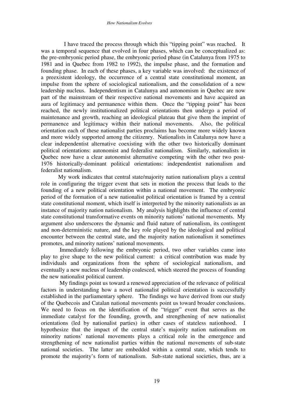I have traced the process through which this "tipping point" was reached. It was a temporal sequence that evolved in four phases, which can be conceptualized as: the pre-embryonic period phase, the embryonic period phase (in Catalunya from 1975 to 1981 and in Quebec from 1982 to 1992), the impulse phase, and the formation and founding phase. In each of these phases, a key variable was involved: the existence of a preexistent ideology, the occurrence of a central state constitutional moment, an impulse from the sphere of sociological nationalism, and the consolidation of a new leadership nucleus. Independentism in Catalunya and autonomism in Quebec are now part of the mainstream of their respective national movements and have acquired an aura of legitimacy and permanence within them. Once the "tipping point" has been reached, the newly institutionalized political orientations then undergo a period of maintenance and growth, reaching an ideological plateau that give them the imprint of permanence and legitimacy within their national movements. Also, the political orientation each of these nationalist parties proclaims has become more widely known and more widely supported among the citizenry. Nationalists in Catalunya now have a clear independentist alternative coexisting with the other two historically dominant political orientations: autonomist and federalist nationalism. Similarly, nationalists in Quebec now have a clear autonomist alternative competing with the other two post-1976 historically-dominant political orientations: independentist nationalism and federalist nationalism.

My work indicates that central state/majority nation nationalism plays a central role in configuring the trigger event that sets in motion the process that leads to the founding of a new political orientation within a national movement. The embryonic period of the formation of a new nationalist political orientation is framed by a central state constitutional moment, which itself is interpreted by the minority nationalists as an instance of majority nation nationalism. My analysis highlights the influence of central state constitutional transformative events on minority nations' national movements. My argument also underscores the dynamic and fluid nature of nationalism, its contingent and non-deterministic nature, and the key role played by the ideological and political encounter between the central state, and the majority nation nationalism it sometimes promotes, and minority nations' national movements.

Immediately following the embryonic period, two other variables came into play to give shape to the new political current: a critical contribution was made by individuals and organizations from the sphere of sociological nationalism, and eventually a new nucleus of leadership coalesced, which steered the process of founding the new nationalist political current.

My findings point us toward a renewed appreciation of the relevance of political factors in understanding how a novel nationalist political orientation is successfully established in the parliamentary sphere. The findings we have derived from our study of the Quebecois and Catalan national movements point us toward broader conclusions. We need to focus on the identification of the "trigger" event that serves as the immediate catalyst for the founding, growth, and strengthening of new nationalist orientations (led by nationalist parties) in other cases of stateless nationhood. I hypothesize that the impact of the central state's majority nation nationalism on minority nations' national movements plays a critical role in the emergence and strengthening of new nationalist parties within the national movements of sub-state national societies. The latter are embedded within a central state, which tends to promote the majority's form of nationalism. Sub-state national societies, thus, are a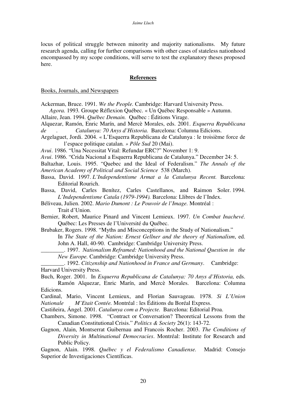locus of political struggle between minority and majority nationalisms. My future research agenda, calling for further comparisons with other cases of stateless nationhood encompassed by my scope conditions, will serve to test the explanatory theses proposed here.

#### **References**

Books, Journals, and Newspapers

Ackerman, Bruce. 1991. *We the People.* Cambridge: Harvard University Press.

*Agora.* 1993*.* Groupe Réflexion Québec. « Un Québec Responsable » Autumn.

Allaire, Jean. 1994. *Québec Demain.* Québec : Éditions Virage.

Alquezar, Ramón, Enric Marín, and Mercè Morales, eds. 2001. *Esquerra Republicana de . Catalunya: 70 Anys d'Historia.* Barcelona: Columna Edicions.

Argelaguet, Jordi. 2004. « L'Esquerra Republicana de Catalunya : le troisième force de l'espace politique catalan*. » Pôle Sud* 20 (Mai).

*Avui*. 1986. "Una Necessitat Vital: Refundar ERC?" November 1: 9.

*Avui*. 1986. "Crida Nacional a Esquerra Republicana de Catalunya." December 24: 5.

Baltazhar, Louis. 1995. "Quebec and the Ideal of Federalism." *The Annals of the American Academy of Political and Social Science* 538 (March).

Bassa, David. 1997. *L'Independentisme Armat a la Catalunya Recent.* Barcelona: Editorial Rourich.

Bassa, David, Carles Benítez, Carles Castellanos, and Raimon Soler. 1994. *L'Independentisme Catala (1979-1994).* Barcelona: Llibres de l'Index.

Béliveau, Julien. 2002. *Mario Dumont : Le Pouvoir de l'Image.* Montréal : Trait d'Union.

Bernier, Robert, Maurice Pinard and Vincent Lemieux. 1997. *Un Combat Inachevé.* Québec: Les Presses de l'Université du Québec.

Brubaker, Rogers. 1998. "Myths and Misconceptions in the Study of Nationalism." In *The State of the Nation: Ernest Gellner and the theory of Nationalism*, ed. John A. Hall, 40-90. Cambridge: Cambridge University Press.

\_\_\_\_\_\_\_\_. 1997. *Nationalism Reframed: Nationhood and the National Question in the New Europe.* Cambridge: Cambridge University Press.

\_\_\_\_\_\_\_\_. 1992. *Citizenship and Nationhood in France and Germany*. Cambridge: Harvard University Press.

Buch, Roger. 2001. In *Esquerra Republicana de Catalunya: 70 Anys d'Historia,* eds. Ramón Alquezar, Enric Marín, and Mercè Morales. Barcelona: Columna Edicions.

Cardinal, Mario, Vincent Lemieux, and Florian Sauvageau. 1978. *Si L'Union Nationale M'Etait Contée.* Montréal : les Éditions du Boréal Express.

Castiñeira, Ángel. 2001. *Catalunya com a Projecte.* Barcelona: Editorial Proa.

- Chambers, Simone. 1998. "Contract or Conversation? Theoretical Lessons from the Canadian Constitutional Crisis." *Politics & Society* 26(1): 143-72.
- Gagnon, Alain, Montserrat Guibernau and Francois Rocher. 2003. *The Conditions of Diversity in Multinational Democracies*. Montréal: Institute for Research and Public Policy.

Gagnon, Alain. 1998. *Québec y el Federalismo Canadiense.* Madrid: Consejo Superior de Investigaciones Científicas.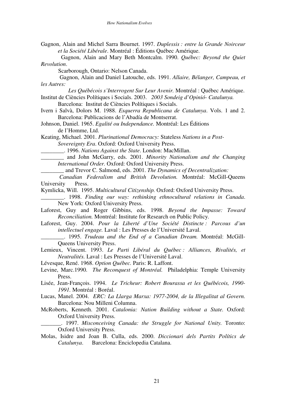Gagnon, Alain and Michel Sarra Bournet. 1997. *Duplessis : entre la Grande Noirceur et la Société Libérale*. Montréal : Éditions Québec Amérique.

Gagnon, Alain and Mary Beth Montcalm. 1990. *Québec: Beyond the Quiet Revolution*.

Scarborough, Ontario: Nelson Canada.

Gagnon, Alain and Daniel Latouche, eds. 1991. *Allaire, Bélanger, Campeau, et les Autres:*

*Les Québécois s'Interrogent Sur Leur Avenir.* Montréal : Québec Amérique.

Institut de Ciències Polítiques i Socials. 2003. *2003 Sondeig d'Opinió- Catalunya.*

Barcelona: Institut de Ciències Polítiques i Socials.

Ivern i Salvà, Dolors M. 1988. *Esquerra Republicana de Catalunya*. Vols. 1 and 2. Barcelona: Publicacions de l'Abadía de Montserrat.

Johnson, Daniel. 1965. *Egalité ou Independance.* Montréal: Les Éditions de l'Homme, Ltd.

Keating, Michael. 2001. *Plurinational Democracy:* Stateless *Nations in a Post-Sovereignty Era*. Oxford: Oxford University Press.

- \_\_\_\_\_\_\_\_. 1996. *Nations Against the State*. London: MacMillan.
- \_\_\_\_\_\_\_\_ and John McGarry, eds. 2001. *Minority Nationalism and the Changing International Order.* Oxford: Oxford University Press.

\_\_\_\_\_\_\_\_ and Trevor C. Salmond, eds. 2001. *The Dynamics of Decentralization:*

*Canadian Federalism and British Devolution.* Montréal: McGill-Queens University Press.

Kymlicka, Will. 1995. *Multicultural Citizenship.* Oxford: Oxford University Press.

- \_\_\_\_\_\_\_\_. 1998. *Finding our way: rethinking ethnocultural relations in Canada*. New York: Oxford University Press.
- Laforest, Guy and Roger Gibbins, eds. 1998. *Beyond the Impasse: Toward Reconciliation.* Montréal: Institute for Research on Public Policy.
- Laforest, Guy. 2004. *Pour la Liberté d'Une Société Distincte : Parcous d'un intellectuel engage.* Laval : Les Presses de l'Université Laval.

\_\_\_\_\_\_\_\_. 1995. *Trudeau and the End of a Canadian Dream.* Montréal: McGill-Queens University Press.

- Lemieux, Vincent. 1993. *Le Parti Libéral du Québec : Alliances, Rivalités, et Neutralités.* Laval : Les Presses de l'Université Laval.
- Lévesque, René. 1968. *Option Québec.* Paris: R. Laffont.
- Levine, Marc.1990. *The Reconquest of Montréal.* Philadelphia: Temple University Press.
- Lisée, Jean-François. 1994. *Le Tricheur: Robert Bourassa et les Québécois, 1990- 1991.* Montréal : Boréal.
- Lucas, Manel. 2004. *ERC: La Llarga Marxa: 1977-2004, de la Illegalitat al Govern.* Barcelona: Nou Milleni Columna.
- McRoberts, Kenneth. 2001. *Catalonia: Nation Building without a State.* Oxford: Oxford University Press.
	- \_\_\_\_\_\_\_. 1997. *Misconceiving Canada: the Struggle for National Unity.* Toronto: Oxford University Press.
- Molas, Isidre and Joan B. Culla, eds. 2000. *Diccionari dels Partits Polítics de Catalunya*. Barcelona: Enciclopedia Catalana.